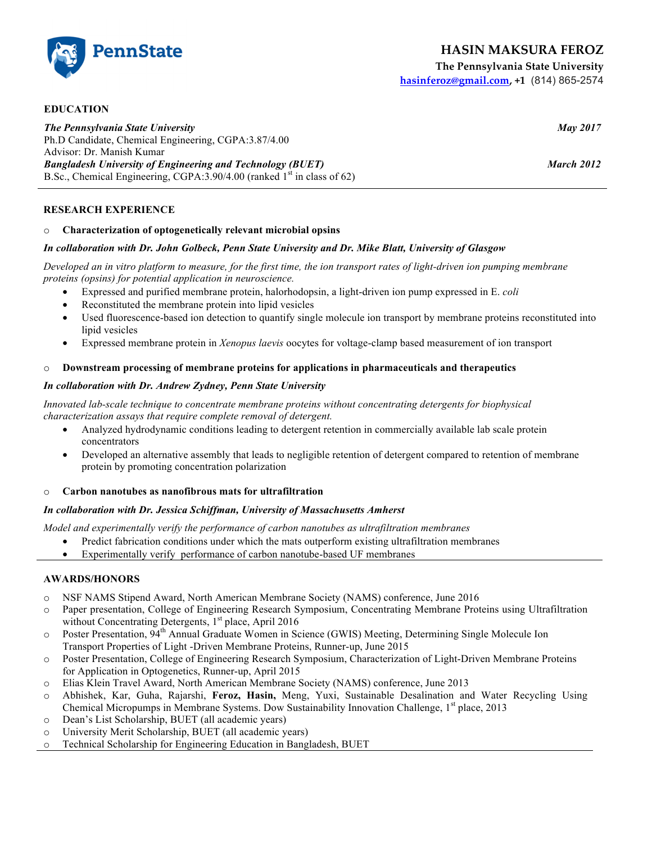**PennState** 

**The Pennsylvania State University hasinferoz@gmail.com, +1** (814) 865-2574

**EDUCATION** *The Pennsylvania State University May 2017* Ph.D Candidate, Chemical Engineering, CGPA:3.87/4.00 Advisor: Dr. Manish Kumar *Bangladesh University of Engineering and Technology (BUET) March 2012* B.Sc., Chemical Engineering, CGPA:  $3.90/4.00$  (ranked 1<sup>st</sup> in class of 62)

# **RESEARCH EXPERIENCE**

# o **Characterization of optogenetically relevant microbial opsins**

# *In collaboration with Dr. John Golbeck, Penn State University and Dr. Mike Blatt, University of Glasgow*

*Developed an in vitro platform to measure, for the first time, the ion transport rates of light-driven ion pumping membrane proteins (opsins) for potential application in neuroscience.* 

- Expressed and purified membrane protein, halorhodopsin, a light-driven ion pump expressed in E. *coli*
- Reconstituted the membrane protein into lipid vesicles
- Used fluorescence-based ion detection to quantify single molecule ion transport by membrane proteins reconstituted into lipid vesicles
- Expressed membrane protein in *Xenopus laevis* oocytes for voltage-clamp based measurement of ion transport

### o **Downstream processing of membrane proteins for applications in pharmaceuticals and therapeutics**

### *In collaboration with Dr. Andrew Zydney, Penn State University*

*Innovated lab-scale technique to concentrate membrane proteins without concentrating detergents for biophysical characterization assays that require complete removal of detergent.*

- Analyzed hydrodynamic conditions leading to detergent retention in commercially available lab scale protein concentrators
- Developed an alternative assembly that leads to negligible retention of detergent compared to retention of membrane protein by promoting concentration polarization
- o **Carbon nanotubes as nanofibrous mats for ultrafiltration**

### *In collaboration with Dr. Jessica Schiffman, University of Massachusetts Amherst*

*Model and experimentally verify the performance of carbon nanotubes as ultrafiltration membranes*

- Predict fabrication conditions under which the mats outperform existing ultrafiltration membranes
- Experimentally verify performance of carbon nanotube-based UF membranes

# **AWARDS/HONORS**

- o NSF NAMS Stipend Award, North American Membrane Society (NAMS) conference, June 2016
- o Paper presentation, College of Engineering Research Symposium, Concentrating Membrane Proteins using Ultrafiltration without Concentrating Detergents, 1<sup>st</sup> place, April 2016
- o Poster Presentation, 94th Annual Graduate Women in Science (GWIS) Meeting, Determining Single Molecule Ion Transport Properties of Light -Driven Membrane Proteins, Runner-up, June 2015
- o Poster Presentation, College of Engineering Research Symposium, Characterization of Light-Driven Membrane Proteins for Application in Optogenetics, Runner-up, April 2015
- o Elias Klein Travel Award, North American Membrane Society (NAMS) conference, June 2013
- o Abhishek, Kar, Guha, Rajarshi, **Feroz, Hasin,** Meng, Yuxi, Sustainable Desalination and Water Recycling Using Chemical Micropumps in Membrane Systems. Dow Sustainability Innovation Challenge, 1<sup>st</sup> place, 2013
- o Dean's List Scholarship, BUET (all academic years)
- o University Merit Scholarship, BUET (all academic years)
- o Technical Scholarship for Engineering Education in Bangladesh, BUET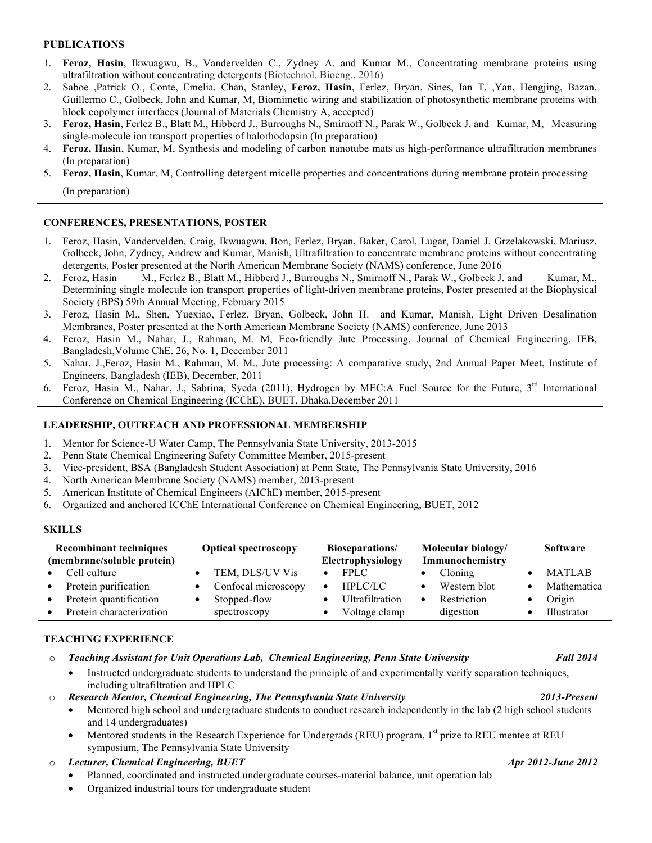# **PUBLICATIONS**

- 1. **Feroz, Hasin**, Ikwuagwu, B., Vandervelden C., Zydney A. and Kumar M., Concentrating membrane proteins using ultrafiltration without concentrating detergents (Biotechnol. Bioeng.. 2016)
- 2. Saboe ,Patrick O., Conte, Emelia, Chan, Stanley, **Feroz, Hasin**, Ferlez, Bryan, Sines, Ian T. ,Yan, Hengjing, Bazan, Guillermo C., Golbeck, John and Kumar, M, Biomimetic wiring and stabilization of photosynthetic membrane proteins with block copolymer interfaces (Journal of Materials Chemistry A, accepted)
- 3. **Feroz, Hasin**, Ferlez B., Blatt M., Hibberd J., Burroughs N., Smirnoff N., Parak W., Golbeck J. and Kumar, M, Measuring single-molecule ion transport properties of halorhodopsin (In preparation)
- 4. **Feroz, Hasin**, Kumar, M, Synthesis and modeling of carbon nanotube mats as high-performance ultrafiltration membranes (In preparation)
- 5. **Feroz, Hasin**, Kumar, M, Controlling detergent micelle properties and concentrations during membrane protein processing

(In preparation)

# **CONFERENCES, PRESENTATIONS, POSTER**

- 1. Feroz, Hasin, Vandervelden, Craig, Ikwuagwu, Bon, Ferlez, Bryan, Baker, Carol, Lugar, Daniel J. Grzelakowski, Mariusz, Golbeck, John, Zydney, Andrew and Kumar, Manish, Ultrafiltration to concentrate membrane proteins without concentrating detergents, Poster presented at the North American Membrane Society (NAMS) conference, June 2016
- 2. Feroz, Hasin M., Ferlez B., Blatt M., Hibberd J., Burroughs N., Smirnoff N., Parak W., Golbeck J. and Kumar, M., Determining single molecule ion transport properties of light-driven membrane proteins, Poster presented at the Biophysical Society (BPS) 59th Annual Meeting, February 2015
- 3. Feroz, Hasin M., Shen, Yuexiao, Ferlez, Bryan, Golbeck, John H. and Kumar, Manish, Light Driven Desalination Membranes, Poster presented at the North American Membrane Society (NAMS) conference, June 2013
- 4. Feroz, Hasin M., Nahar, J., Rahman, M. M, Eco-friendly Jute Processing, Journal of Chemical Engineering, IEB, Bangladesh,Volume ChE. 26, No. 1, December 2011
- 5. Nahar, J.,Feroz, Hasin M., Rahman, M. M., Jute processing: A comparative study, 2nd Annual Paper Meet, Institute of Engineers, Bangladesh (IEB), December, 2011
- 6. Feroz, Hasin M., Nahar, J., Sabrina, Syeda (2011), Hydrogen by MEC:A Fuel Source for the Future, 3rd International Conference on Chemical Engineering (ICChE), BUET, Dhaka,December 2011

# **LEADERSHIP, OUTREACH AND PROFESSIONAL MEMBERSHIP**

- 1. Mentor for Science-U Water Camp, The Pennsylvania State University, 2013-2015
- 2. Penn State Chemical Engineering Safety Committee Member, 2015-present
- 3. Vice-president, BSA (Bangladesh Student Association) at Penn State, The Pennsylvania State University, 2016
- 4. North American Membrane Society (NAMS) member, 2013-present
- 5. American Institute of Chemical Engineers (AIChE) member, 2015-present
- 6. Organized and anchored ICChE International Conference on Chemical Engineering, BUET, 2012

## **SKILLS**

| <b>Recombinant techniques</b><br>(membrane/soluble protein) |                                                    | <b>Optical spectroscopy</b>              | <b>Bioseparations/</b><br>Electrophysiology | Molecular biology/<br>Immunochemistry | Software                     |
|-------------------------------------------------------------|----------------------------------------------------|------------------------------------------|---------------------------------------------|---------------------------------------|------------------------------|
| $\bullet$                                                   | Cell culture<br>Protein purification               | TEM, DLS/UV Vis<br>• Confocal microscopy | FPI.C.<br>HPLC/LC<br>$\bullet$              | Cloning<br>Western blot               | <b>MATLAB</b><br>Mathematica |
|                                                             | Protein quantification<br>Protein characterization | Stopped-flow<br>spectroscopy             | Ultrafiltration<br>Voltage clamp            | Restriction<br>digestion              | Origin<br>Illustrator        |

o *Teaching Assistant for Unit Operations Lab, Chemical Engineering, Penn State University Fall 2014*

# **TEACHING EXPERIENCE**

|  | in the community of the state of the community of the community of the community of the community of the community of the community of the community of the community of the community of the community of the community of th |
|--|--------------------------------------------------------------------------------------------------------------------------------------------------------------------------------------------------------------------------------|
|  | Instructed undergraduate students to understand the principle of and experimentally verify separation techniques,                                                                                                              |
|  | including ultrafiltration and HPLC                                                                                                                                                                                             |

- o *Research Mentor, Chemical Engineering, The Pennsylvania State University 2013-Present*
	- Mentored high school and undergraduate students to conduct research independently in the lab (2 high school students and 14 undergraduates)
	- Mentored students in the Research Experience for Undergrads (REU) program,  $1<sup>st</sup>$  prize to REU mentee at REU symposium, The Pennsylvania State University
- o *Lecturer, Chemical Engineering, BUET Apr 2012-June 2012*
	- Planned, coordinated and instructed undergraduate courses-material balance, unit operation lab
	- Organized industrial tours for undergraduate student